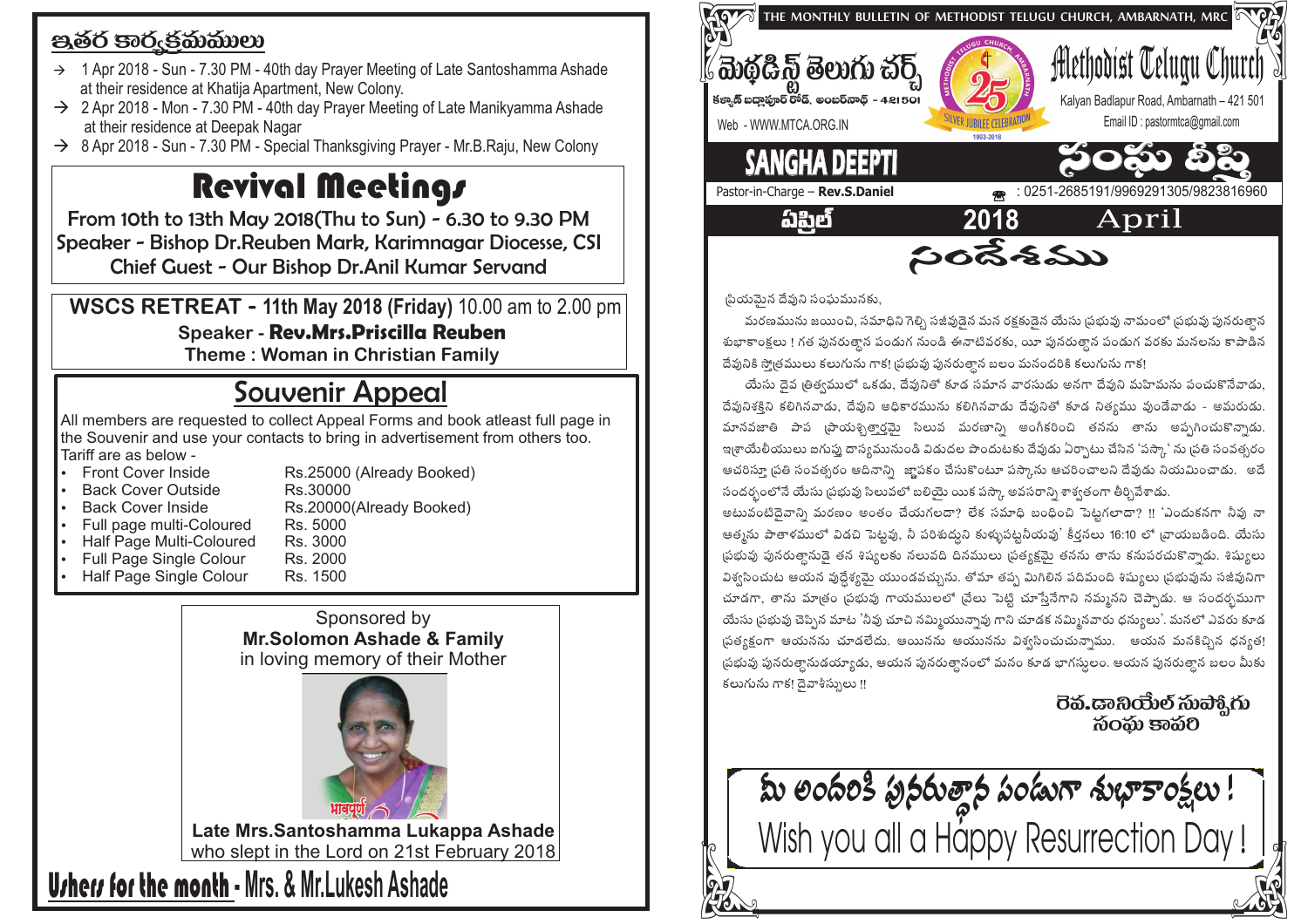## පූෂ්ර පාරුජකාකාගා

- $\rightarrow$  1 Apr 2018 Sun 7.30 PM 40th day Prayer Meeting of Late Santoshamma Ashade at their residence at Khatija Apartment, New Colony.
- $\rightarrow$  2 Apr 2018 Mon 7.30 PM 40th day Prayer Meeting of Late Manikyamma Ashade at their residence at Deepak Nagar
- $\rightarrow$  8 Apr 2018 Sun 7.30 PM Special Thanksgiving Prayer Mr.B.Raju, New Colony

## **Revival Meetings**

From 10th to 13th May 2018(Thu to Sun) - 6.30 to 9.30 PM Speaker - Bishop Dr. Reuben Mark, Karimnagar Diocesse, CSI Chief Guest - Our Bishop Dr.Anil Kumar Servand

WSCS RETREAT - 11th May 2018 (Friday) 10.00 am to 2.00 pm **Speaker - Rev.Mrs.Priscilla Reuben** 

Theme: Woman in Christian Family

## **Souvenir Appeal**

All members are requested to collect Appeal Forms and book atleast full page in the Souvenir and use your contacts to bring in advertisement from others too. Tariff are as below -

- Front Cover Inside
- **Back Cover Outside**
- **Back Cover Inside**
- Full page multi-Coloured
	- Rs. 5000 Rs 3000
- Half Page Multi-Coloured Full Page Single Colour
- Half Page Single Colour
- Rs. 2000 Rs 1500

Rs.30000

Sponsored by **Mr.Solomon Ashade & Family** in loving memory of their Mother

Rs.25000 (Already Booked)

Rs.20000(Already Booked)



Late Mrs.Santoshamma Lukappa Ashade who slept in the Lord on 21st February 2018

**Urhers for the month - Mrs. & Mr. Lukesh Ashade** 



(పియమైన దేవుని సంఘమునకు,

మరణమును జయించి, సమాధిని గెల్సి సజీవుడెన మన రక్రకుడెన యేసు ప్రభువు నామంలో ప్రభువు పునరుత్వాన శుభాకాంక్షలు ! గత పునరుత్తాన పండుగ నుండి ఈనాటివరకు, యీ పునరుత్తాన పండుగ వరకు మనలను కాపాడిన దేవునికి స్మోతములు కలుగును గాక! (పభువు పునరుత్తాన బలం మనందరికి కలుగును గాక!

 $\frac{2}{300}$ శ్రీము

యేసు దెవ ౹తిత్వములో ఒకడు, దేవునితో కూడ సమాన వారసుడు అనగా దేవుని మహిమను పంచుకొనేవాడు, దేవునిశక్తిని కలిగినవాడు, దేవుని అధికారమును కలిగినవాడు దేవునితో కూడ నిత్యము వుండేవాడు - అమరుడు. మానవజాతి పాప (పాయశ్చిత్వార్తమై సిలువ మరణాని) అంగీకరించి తనను తాను అప్పగించుకొన్నాడు. ఇ్తులేయులు ఐగుప్న దాస్యమునుండి విడుదల పొందుటకు దేవుడు ఏర్పాటు చేసిన 'పస్కా' ను బ్రతి సంవత్సరం ఆచరిస్తూ [పతి సంవత్సరం ఆదినాని) జా్షపకం చేసుకొంటూ పస్కాను ఆచరించాలని దేవుడు నియమించాడు. అదే సందర్భంలోనే యేసు (పభువు సిలువలో బలియై యిక పస్కా అవసరాన్ని శాశ్వతంగా తీర్చివేశాడు.

అటువంటిదెవాన్ని మరణం అంతం చేయగలదా? లేక సమాధి బంధించి పెట్టగలాదా? !! 'ఎందుకనగా నీవు నా ఆత్మను పాతాళములో విడచి పెట్టవు, నీ పరిశుద్ధుని కుళ్ళుపట్టనీయవు' కీర్తనలు 16:10 లో బ్రాయబడింది. యేసు ్రపభువు పునరుత్తానుడై తన శిష్యలకు నలువది దినములు (పత్యక్షమై తనను తాను కనుపరచుకొన్నాడు. శిష్యులు విశ్వసించుట ఆయన వుద్దేశ్యమై యుండవచ్చును. తోమా తప్ప మిగిలిన పదిమంది శిష్యులు (పభువును సజీవునిగా చూడగా, తాను మాత్రం ప్రభువు గాయములలో (వేలు పెట్టి చూస్తేనేగాని నమ్మనని చెప్పాడు. ఆ సందర్భముగా యేసు (పభువు చెప్పిన మాట 'నీవు చూచి నమ్మియున్నావు గాని చూడక నమ్మినవారు ధన్యులు'. మనలో ఎవరు కూడ స్రత్యక్షంగా ఆయనను చూడలేదు. ఆయినను ఆయునను విశ్వసించుచున్నాము. ఆయన మనకిచ్చిన ధన్యత! ప్రభువు పునరుత్తానుడయ్యాడు, ఆయన పునరుత్తానంలో మనం కూడ భాగస్తులం. ఆయన పునరుత్తాన బలం మీకు కలుగును గాక! దెవాశీస్సులు !!

බිරබා පැබිව

**మీ లందరికి పునరుత్తాన పండుగా శుభాకాంక్షలు!**<br>Wish you all a Happy Resurrection Day!